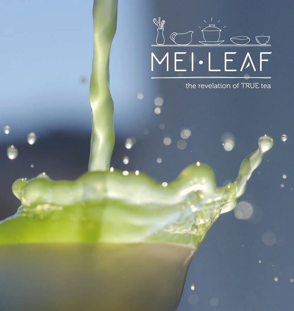

the revelation of TRUE tea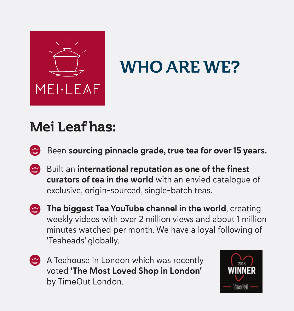

# WHO ARE WE?

## Mei Leaf has:

Been sourcing pinnacle grade, true tea for over 15 years.

- Built an international reputation as one of the finest  $\bigoplus$ curators of tea in the world with an envied catalogue of exclusive, origin-sourced, single-batch teas.
- The biggest Tea YouTube channel in the world, creating  $\bigoplus$ weekly videos with over 2 million views and about 1 million minutes watched per month. We have a loyal following of 'Teaheads' globally.
- A Teahouse in London which was recently  $\bigoplus$ voted 'The Most Loved Shop in London' by TimeOut London.

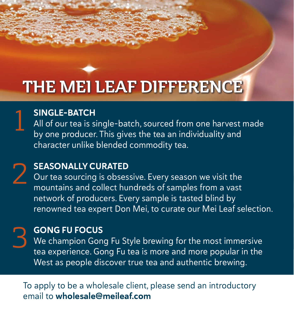# THE MEI LEAF DIFFERENCE

### SINGLE-BATCH 1

All of our tea is single-batch, sourced from one harvest made by one producer. This gives the tea an individuality and character unlike blended commodity tea.

### SEASONALLY CURATED 2

Our tea sourcing is obsessive. Every season we visit the mountains and collect hundreds of samples from a vast network of producers. Every sample is tasted blind by renowned tea expert Don Mei, to curate our Mei Leaf selection.

#### GONG FU FOCUS

3

We champion Gong Fu Style brewing for the most immersive tea experience. Gong Fu tea is more and more popular in the West as people discover true tea and authentic brewing.

#### To apply to be a wholesale client, please send an introductory email to wholesale@meileaf.com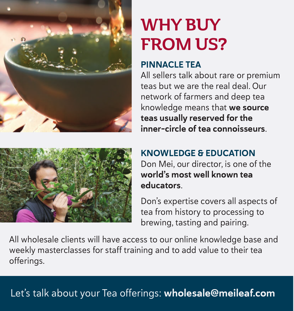

# WHY BUY FROM US?

#### PINNACLE TEA

All sellers talk about rare or premium teas but we are the real deal. Our network of farmers and deep tea knowledge means that we source teas usually reserved for the inner-circle of tea connoisseurs.



#### KNOWLEDGE & EDUCATION

Don Mei, our director, is one of the world's most well known tea educators.

Don's expertise covers all aspects of tea from history to processing to brewing, tasting and pairing.

All wholesale clients will have access to our online knowledge base and weekly masterclasses for staff training and to add value to their tea offerings.

### Let's talk about your Tea offerings: wholesale@meileaf.com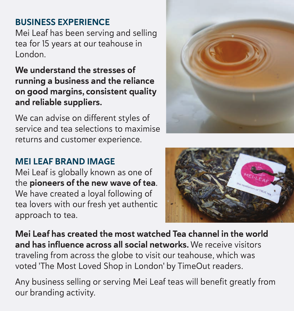#### BUSINESS EXPERIENCE

Mei Leaf has been serving and selling tea for 15 years at our teahouse in London.

#### We understand the stresses of running a business and the reliance on good margins, consistent quality and reliable suppliers.

We can advise on different styles of service and tea selections to maximise returns and customer experience.

#### MELLEAF BRAND IMAGE

Mei Leaf is globally known as one of the pioneers of the new wave of tea. We have created a loyal following of tea lovers with our fresh yet authentic approach to tea.



Mei Leaf has created the most watched Tea channel in the world and has influence across all social networks. We receive visitors traveling from across the globe to visit our teahouse, which was voted 'The Most Loved Shop in London' by TimeOut readers.

Any business selling or serving Mei Leaf teas will benefit greatly from our branding activity.